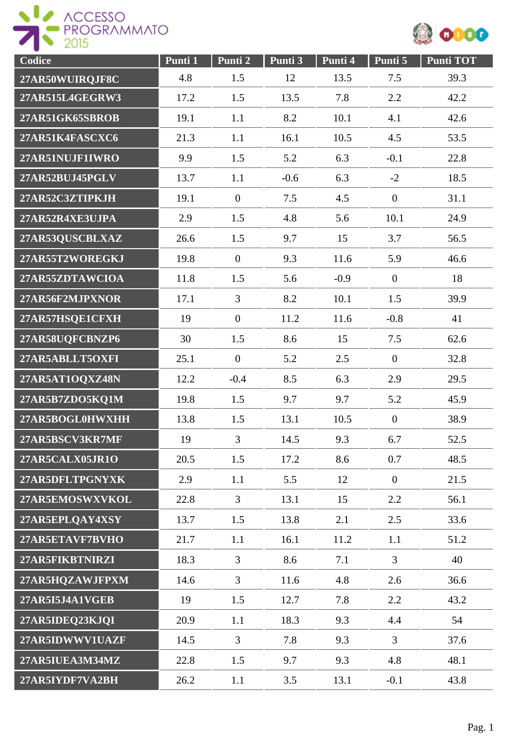

| Codice          | Punti 1 | Punti 2        | Punti 3 | Punti 4 | Punti 5          | <b>Punti TOT</b> |
|-----------------|---------|----------------|---------|---------|------------------|------------------|
| 27AR50WUIRQJF8C | 4.8     | 1.5            | 12      | 13.5    | 7.5              | 39.3             |
| 27AR515L4GEGRW3 | 17.2    | 1.5            | 13.5    | 7.8     | 2.2              | 42.2             |
| 27AR51GK65SBROB | 19.1    | 1.1            | 8.2     | 10.1    | 4.1              | 42.6             |
| 27AR51K4FASCXC6 | 21.3    | 1.1            | 16.1    | 10.5    | 4.5              | 53.5             |
| 27AR51NUJF1IWRO | 9.9     | 1.5            | 5.2     | 6.3     | $-0.1$           | 22.8             |
| 27AR52BUJ45PGLV | 13.7    | 1.1            | $-0.6$  | 6.3     | $-2$             | 18.5             |
| 27AR52C3ZTIPKJH | 19.1    | $\mathbf{0}$   | 7.5     | 4.5     | $\boldsymbol{0}$ | 31.1             |
| 27AR52R4XE3UJPA | 2.9     | 1.5            | 4.8     | 5.6     | 10.1             | 24.9             |
| 27AR53QUSCBLXAZ | 26.6    | 1.5            | 9.7     | 15      | 3.7              | 56.5             |
| 27AR55T2WOREGKJ | 19.8    | $\mathbf{0}$   | 9.3     | 11.6    | 5.9              | 46.6             |
| 27AR55ZDTAWCIOA | 11.8    | 1.5            | 5.6     | $-0.9$  | $\mathbf{0}$     | 18               |
| 27AR56F2MJPXNOR | 17.1    | $\overline{3}$ | 8.2     | 10.1    | 1.5              | 39.9             |
| 27AR57HSQE1CFXH | 19      | $\overline{0}$ | 11.2    | 11.6    | $-0.8$           | 41               |
| 27AR58UQFCBNZP6 | 30      | 1.5            | 8.6     | 15      | 7.5              | 62.6             |
| 27AR5ABLLT5OXFI | 25.1    | $\mathbf{0}$   | 5.2     | 2.5     | $\boldsymbol{0}$ | 32.8             |
| 27AR5AT1OQXZ48N | 12.2    | $-0.4$         | 8.5     | 6.3     | 2.9              | 29.5             |
| 27AR5B7ZDO5KQ1M | 19.8    | 1.5            | 9.7     | 9.7     | 5.2              | 45.9             |
| 27AR5BOGL0HWXHH | 13.8    | 1.5            | 13.1    | 10.5    | $\overline{0}$   | 38.9             |
| 27AR5BSCV3KR7MF | 19      | $\overline{3}$ | 14.5    | 9.3     | 6.7              | 52.5             |
| 27AR5CALX05JR1O | 20.5    | 1.5            | 17.2    | 8.6     | 0.7              | 48.5             |
| 27AR5DFLTPGNYXK | 2.9     | 1.1            | 5.5     | 12      | $\mathbf{0}$     | 21.5             |
| 27AR5EMOSWXVKOL | 22.8    | $\overline{3}$ | 13.1    | 15      | 2.2              | 56.1             |
| 27AR5EPLQAY4XSY | 13.7    | 1.5            | 13.8    | 2.1     | 2.5              | 33.6             |
| 27AR5ETAVF7BVHO | 21.7    | 1.1            | 16.1    | 11.2    | 1.1              | 51.2             |
| 27AR5FIKBTNIRZI | 18.3    | $\overline{3}$ | 8.6     | 7.1     | $\overline{3}$   | 40               |
| 27AR5HQZAWJFPXM | 14.6    | $\overline{3}$ | 11.6    | 4.8     | 2.6              | 36.6             |
| 27AR5I5J4A1VGEB | 19      | 1.5            | 12.7    | 7.8     | 2.2              | 43.2             |
| 27AR5IDEQ23KJQI | 20.9    | 1.1            | 18.3    | 9.3     | 4.4              | 54               |
| 27AR5IDWWV1UAZF | 14.5    | 3              | 7.8     | 9.3     | $\overline{3}$   | 37.6             |
| 27AR5IUEA3M34MZ | 22.8    | 1.5            | 9.7     | 9.3     | 4.8              | 48.1             |
| 27AR5IYDF7VA2BH | 26.2    | 1.1            | 3.5     | 13.1    | $-0.1$           | 43.8             |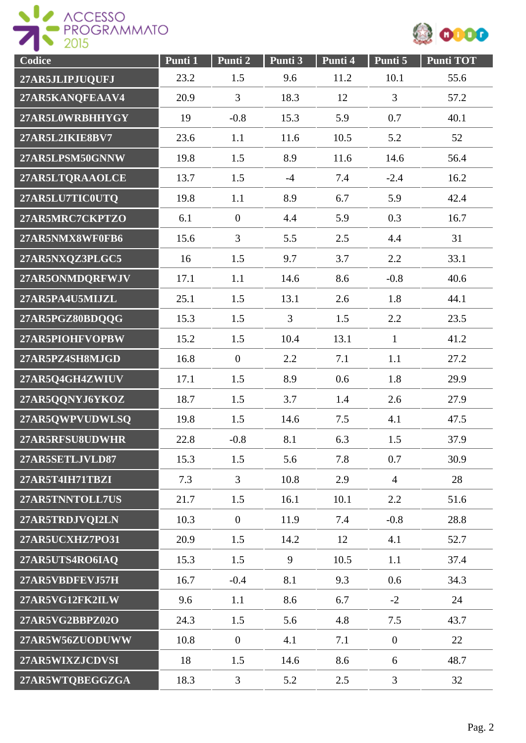



| Codice          | Punti 1 | Punti 2        | Punti 3        | Punti 4 | Punti 5          | <b>Punti TOT</b> |
|-----------------|---------|----------------|----------------|---------|------------------|------------------|
| 27AR5JLIPJUQUFJ | 23.2    | 1.5            | 9.6            | 11.2    | 10.1             | 55.6             |
| 27AR5KANQFEAAV4 | 20.9    | 3              | 18.3           | 12      | $\overline{3}$   | 57.2             |
| 27AR5L0WRBHHYGY | 19      | $-0.8$         | 15.3           | 5.9     | 0.7              | 40.1             |
| 27AR5L2IKIE8BV7 | 23.6    | 1.1            | 11.6           | 10.5    | 5.2              | 52               |
| 27AR5LPSM50GNNW | 19.8    | 1.5            | 8.9            | 11.6    | 14.6             | 56.4             |
| 27AR5LTQRAAOLCE | 13.7    | 1.5            | $-4$           | 7.4     | $-2.4$           | 16.2             |
| 27AR5LU7TIC0UTQ | 19.8    | 1.1            | 8.9            | 6.7     | 5.9              | 42.4             |
| 27AR5MRC7CKPTZO | 6.1     | $\overline{0}$ | 4.4            | 5.9     | 0.3              | 16.7             |
| 27AR5NMX8WF0FB6 | 15.6    | 3              | 5.5            | 2.5     | 4.4              | 31               |
| 27AR5NXQZ3PLGC5 | 16      | 1.5            | 9.7            | 3.7     | 2.2              | 33.1             |
| 27AR5ONMDQRFWJV | 17.1    | 1.1            | 14.6           | 8.6     | $-0.8$           | 40.6             |
| 27AR5PA4U5MIJZL | 25.1    | 1.5            | 13.1           | 2.6     | 1.8              | 44.1             |
| 27AR5PGZ80BDQQG | 15.3    | 1.5            | $\overline{3}$ | 1.5     | 2.2              | 23.5             |
| 27AR5PIOHFVOPBW | 15.2    | 1.5            | 10.4           | 13.1    | $\mathbf{1}$     | 41.2             |
| 27AR5PZ4SH8MJGD | 16.8    | $\mathbf{0}$   | 2.2            | 7.1     | 1.1              | 27.2             |
| 27AR5Q4GH4ZWIUV | 17.1    | 1.5            | 8.9            | 0.6     | 1.8              | 29.9             |
| 27AR5QQNYJ6YKOZ | 18.7    | 1.5            | 3.7            | 1.4     | 2.6              | 27.9             |
| 27AR5QWPVUDWLSQ | 19.8    | 1.5            | 14.6           | 7.5     | 4.1              | 47.5             |
| 27AR5RFSU8UDWHR | 22.8    | $-0.8$         | 8.1            | 6.3     | 1.5              | 37.9             |
| 27AR5SETLJVLD87 | 15.3    | 1.5            | 5.6            | 7.8     | 0.7              | 30.9             |
| 27AR5T4IH71TBZI | 7.3     | 3              | 10.8           | 2.9     | $\overline{4}$   | 28               |
| 27AR5TNNTOLL7US | 21.7    | 1.5            | 16.1           | 10.1    | 2.2              | 51.6             |
| 27AR5TRDJVQI2LN | 10.3    | $\mathbf{0}$   | 11.9           | 7.4     | $-0.8$           | 28.8             |
| 27AR5UCXHZ7PO31 | 20.9    | 1.5            | 14.2           | 12      | 4.1              | 52.7             |
| 27AR5UTS4RO6IAQ | 15.3    | 1.5            | 9              | 10.5    | 1.1              | 37.4             |
| 27AR5VBDFEVJ57H | 16.7    | $-0.4$         | 8.1            | 9.3     | 0.6              | 34.3             |
| 27AR5VG12FK2ILW | 9.6     | 1.1            | 8.6            | 6.7     | $-2$             | 24               |
| 27AR5VG2BBPZ02O | 24.3    | 1.5            | 5.6            | 4.8     | 7.5              | 43.7             |
| 27AR5W56ZUODUWW | 10.8    | $\mathbf{0}$   | 4.1            | 7.1     | $\boldsymbol{0}$ | 22               |
| 27AR5WIXZJCDVSI | 18      | 1.5            | 14.6           | 8.6     | 6                | 48.7             |
| 27AR5WTQBEGGZGA | 18.3    | $\mathfrak{Z}$ | 5.2            | 2.5     | 3                | 32               |